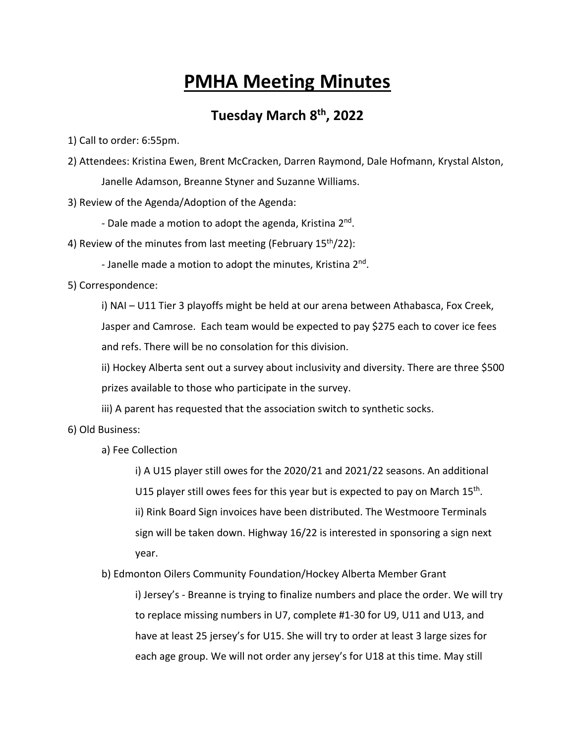## **PMHA Meeting Minutes**

## **Tuesday March 8th, 2022**

1) Call to order: 6:55pm.

2) Attendees: Kristina Ewen, Brent McCracken, Darren Raymond, Dale Hofmann, Krystal Alston, Janelle Adamson, Breanne Styner and Suzanne Williams.

3) Review of the Agenda/Adoption of the Agenda:

- Dale made a motion to adopt the agenda, Kristina 2nd.

- 4) Review of the minutes from last meeting (February  $15<sup>th</sup>/22$ ):
	- Janelle made a motion to adopt the minutes, Kristina 2<sup>nd</sup>.

5) Correspondence:

i) NAI – U11 Tier 3 playoffs might be held at our arena between Athabasca, Fox Creek, Jasper and Camrose. Each team would be expected to pay \$275 each to cover ice fees and refs. There will be no consolation for this division.

ii) Hockey Alberta sent out a survey about inclusivity and diversity. There are three \$500 prizes available to those who participate in the survey.

iii) A parent has requested that the association switch to synthetic socks.

6) Old Business:

a) Fee Collection

i) A U15 player still owes for the 2020/21 and 2021/22 seasons. An additional U15 player still owes fees for this year but is expected to pay on March  $15<sup>th</sup>$ . ii) Rink Board Sign invoices have been distributed. The Westmoore Terminals sign will be taken down. Highway 16/22 is interested in sponsoring a sign next year.

b) Edmonton Oilers Community Foundation/Hockey Alberta Member Grant i) Jersey's - Breanne is trying to finalize numbers and place the order. We will try to replace missing numbers in U7, complete #1-30 for U9, U11 and U13, and have at least 25 jersey's for U15. She will try to order at least 3 large sizes for each age group. We will not order any jersey's for U18 at this time. May still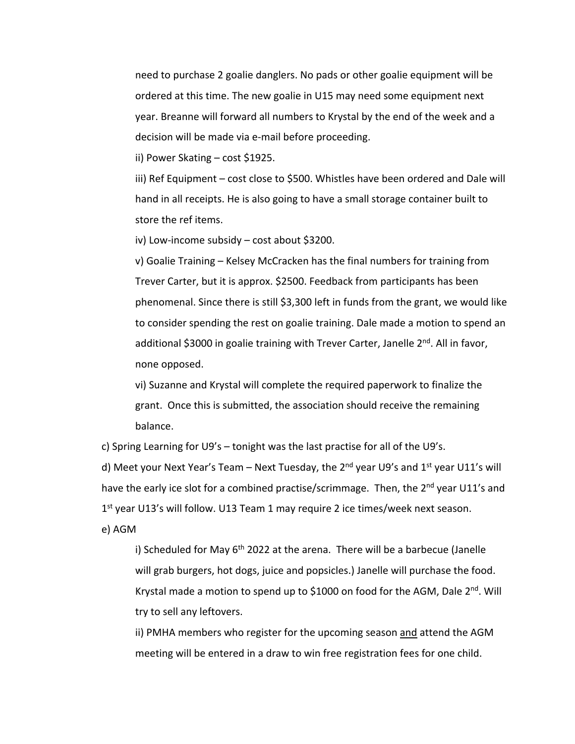need to purchase 2 goalie danglers. No pads or other goalie equipment will be ordered at this time. The new goalie in U15 may need some equipment next year. Breanne will forward all numbers to Krystal by the end of the week and a decision will be made via e-mail before proceeding.

ii) Power Skating – cost \$1925.

iii) Ref Equipment – cost close to \$500. Whistles have been ordered and Dale will hand in all receipts. He is also going to have a small storage container built to store the ref items.

iv) Low-income subsidy – cost about \$3200.

v) Goalie Training – Kelsey McCracken has the final numbers for training from Trever Carter, but it is approx. \$2500. Feedback from participants has been phenomenal. Since there is still \$3,300 left in funds from the grant, we would like to consider spending the rest on goalie training. Dale made a motion to spend an additional \$3000 in goalie training with Trever Carter, Janelle 2<sup>nd</sup>. All in favor, none opposed.

vi) Suzanne and Krystal will complete the required paperwork to finalize the grant. Once this is submitted, the association should receive the remaining balance.

c) Spring Learning for U9's – tonight was the last practise for all of the U9's.

d) Meet your Next Year's Team – Next Tuesday, the  $2^{nd}$  year U9's and  $1^{st}$  year U11's will have the early ice slot for a combined practise/scrimmage. Then, the 2<sup>nd</sup> year U11's and 1<sup>st</sup> year U13's will follow. U13 Team 1 may require 2 ice times/week next season. e) AGM

i) Scheduled for May  $6<sup>th</sup>$  2022 at the arena. There will be a barbecue (Janelle will grab burgers, hot dogs, juice and popsicles.) Janelle will purchase the food. Krystal made a motion to spend up to \$1000 on food for the AGM, Dale  $2^{nd}$ . Will try to sell any leftovers.

ii) PMHA members who register for the upcoming season and attend the AGM meeting will be entered in a draw to win free registration fees for one child.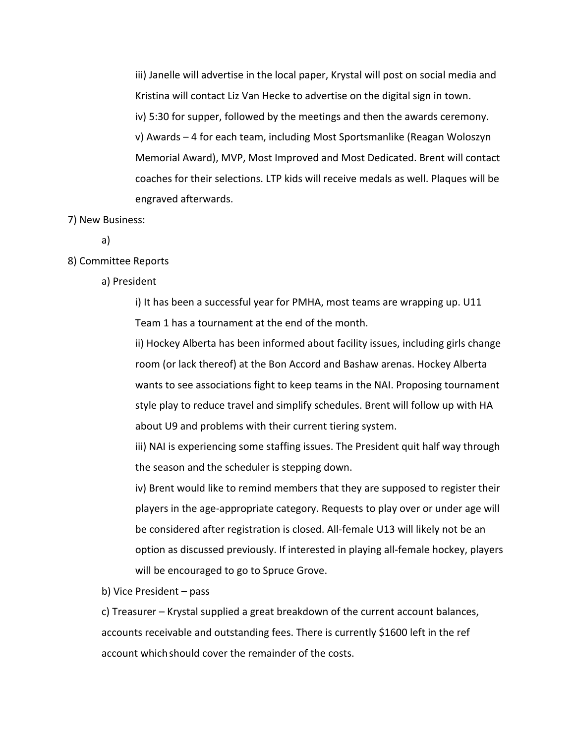iii) Janelle will advertise in the local paper, Krystal will post on social media and Kristina will contact Liz Van Hecke to advertise on the digital sign in town. iv) 5:30 for supper, followed by the meetings and then the awards ceremony. v) Awards – 4 for each team, including Most Sportsmanlike (Reagan Woloszyn Memorial Award), MVP, Most Improved and Most Dedicated. Brent will contact coaches for their selections. LTP kids will receive medals as well. Plaques will be engraved afterwards.

## 7) New Business:

a)

## 8) Committee Reports

a) President

i) It has been a successful year for PMHA, most teams are wrapping up. U11 Team 1 has a tournament at the end of the month.

ii) Hockey Alberta has been informed about facility issues, including girls change room (or lack thereof) at the Bon Accord and Bashaw arenas. Hockey Alberta wants to see associations fight to keep teams in the NAI. Proposing tournament style play to reduce travel and simplify schedules. Brent will follow up with HA about U9 and problems with their current tiering system.

iii) NAI is experiencing some staffing issues. The President quit half way through the season and the scheduler is stepping down.

iv) Brent would like to remind members that they are supposed to register their players in the age-appropriate category. Requests to play over or under age will be considered after registration is closed. All-female U13 will likely not be an option as discussed previously. If interested in playing all-female hockey, players will be encouraged to go to Spruce Grove.

b) Vice President – pass

c) Treasurer – Krystal supplied a great breakdown of the current account balances, accounts receivable and outstanding fees. There is currently \$1600 left in the ref account whichshould cover the remainder of the costs.